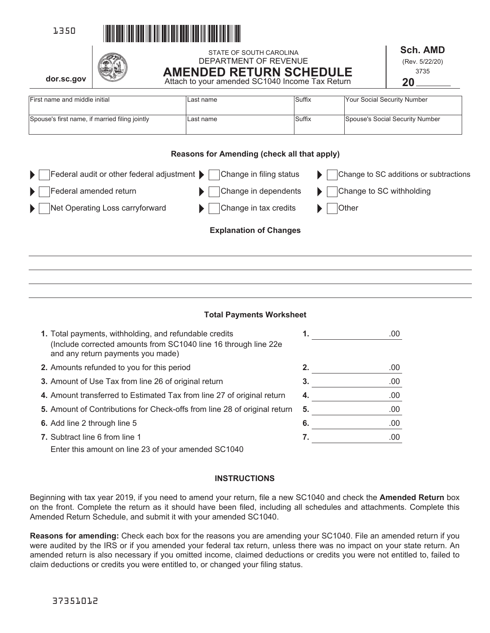





STATE OF SOUTH CAROLINA DEPARTMENT OF REVENUE **AMENDED RETURN SCHEDULE**  Attach to your amended SC1040 Income Tax Return

**Sch. AMD**  (Rev. 5/22/20) 3735 **20**

**dor.sc.gov**

| First name and middle initial                  | ILast name | <b>Suffix</b> | Your Social Security Number     |
|------------------------------------------------|------------|---------------|---------------------------------|
|                                                |            |               |                                 |
|                                                |            |               |                                 |
| Spouse's first name, if married filing jointly | ILast name | <b>Suffix</b> | Spouse's Social Security Number |
|                                                |            |               |                                 |
|                                                |            |               |                                 |

# **Reasons for Amending (check all that apply)**

| Federal audit or other federal adjustment $\blacktriangleright$<br>$\blacktriangleright$ 1 | Change in filing status       | Change to SC additions or subtractions |
|--------------------------------------------------------------------------------------------|-------------------------------|----------------------------------------|
| Federal amended return<br>$\blacktriangleright$ 1                                          | Change in dependents          | Change to SC withholding               |
| Net Operating Loss carryforward<br>$\blacktriangleright$ 1                                 | Change in tax credits         | Other                                  |
|                                                                                            | <b>Explanation of Changes</b> |                                        |

# **Total Payments Worksheet**

| 1. Total payments, withholding, and refundable credits<br>(Include corrected amounts from SC1040 line 16 through line 22e<br>and any return payments you made) | 1. | .00 |
|----------------------------------------------------------------------------------------------------------------------------------------------------------------|----|-----|
| 2. Amounts refunded to you for this period                                                                                                                     | 2. | .00 |
| 3. Amount of Use Tax from line 26 of original return                                                                                                           | 3. | .00 |
| 4. Amount transferred to Estimated Tax from line 27 of original return                                                                                         | 4. | .00 |
| 5. Amount of Contributions for Check-offs from line 28 of original return                                                                                      | 5. | .00 |
| 6. Add line 2 through line 5                                                                                                                                   | 6. | .00 |
| <b>7.</b> Subtract line 6 from line 1                                                                                                                          | 7. | .00 |
| Enter this amount on line 23 of your amended SC1040                                                                                                            |    |     |

### **INSTRUCTIONS**

Beginning with tax year 2019, if you need to amend your return, file a new SC1040 and check the **Amended Return** box on the front. Complete the return as it should have been filed, including all schedules and attachments. Complete this Amended Return Schedule, and submit it with your amended SC1040.

**Reasons for amending:** Check each box for the reasons you are amending your SC1040. File an amended return if you were audited by the IRS or if you amended your federal tax return, unless there was no impact on your state return. An amended return is also necessary if you omitted income, claimed deductions or credits you were not entitled to, failed to claim deductions or credits you were entitled to, or changed your filing status.